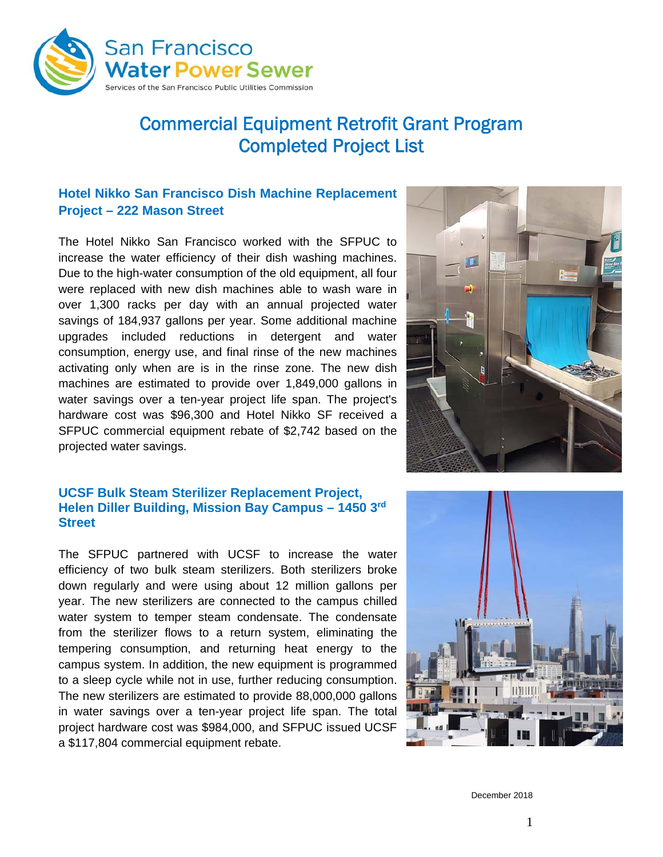

# Commercial Equipment Retrofit Grant Program Completed Project List

# **Hotel Nikko San Francisco Dish Machine Replacement Project – 222 Mason Street**

The Hotel Nikko San Francisco worked with the SFPUC to increase the water efficiency of their dish washing machines. Due to the high-water consumption of the old equipment, all four were replaced with new dish machines able to wash ware in over 1,300 racks per day with an annual projected water savings of 184,937 gallons per year. Some additional machine upgrades included reductions in detergent and water consumption, energy use, and final rinse of the new machines activating only when are is in the rinse zone. The new dish machines are estimated to provide over 1,849,000 gallons in water savings over a ten-year project life span. The project's hardware cost was \$96,300 and Hotel Nikko SF received a SFPUC commercial equipment rebate of \$2,742 based on the projected water savings.

#### **UCSF Bulk Steam Sterilizer Replacement Project, Helen Diller Building, Mission Bay Campus – 1450 3rd Street**

The SFPUC partnered with UCSF to increase the water efficiency of two bulk steam sterilizers. Both sterilizers broke down regularly and were using about 12 million gallons per year. The new sterilizers are connected to the campus chilled water system to temper steam condensate. The condensate from the sterilizer flows to a return system, eliminating the tempering consumption, and returning heat energy to the campus system. In addition, the new equipment is programmed to a sleep cycle while not in use, further reducing consumption. The new sterilizers are estimated to provide 88,000,000 gallons in water savings over a ten-year project life span. The total project hardware cost was \$984,000, and SFPUC issued UCSF a \$117,804 commercial equipment rebate.





December 2018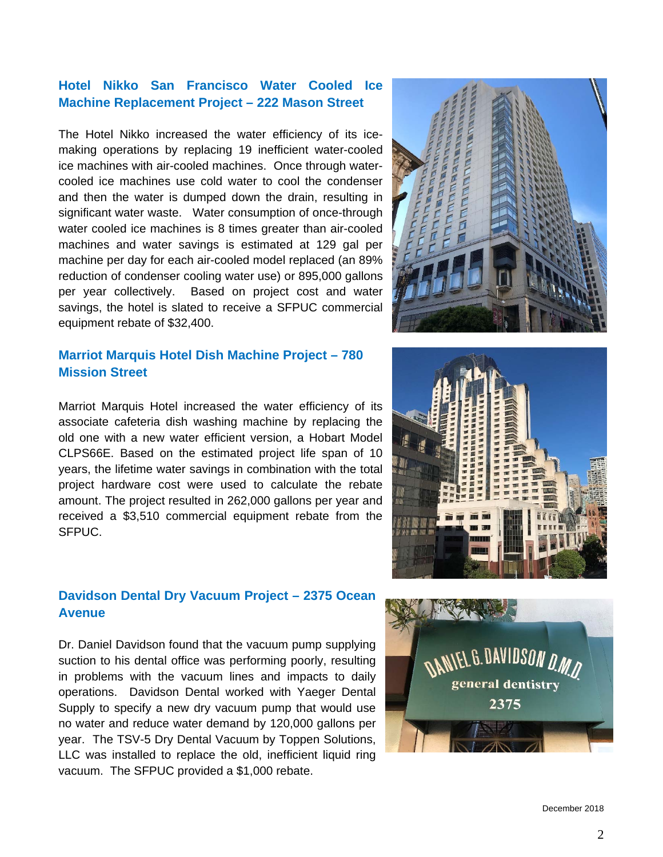December 2018

2

# **Hotel Nikko San Francisco Water Cooled Ice Machine Replacement Project – 222 Mason Street**

The Hotel Nikko increased the water efficiency of its icemaking operations by replacing 19 inefficient water-cooled ice machines with air-cooled machines. Once through watercooled ice machines use cold water to cool the condenser and then the water is dumped down the drain, resulting in significant water waste. Water consumption of once-through water cooled ice machines is 8 times greater than air-cooled machines and water savings is estimated at 129 gal per machine per day for each air-cooled model replaced (an 89% reduction of condenser cooling water use) or 895,000 gallons per year collectively. Based on project cost and water savings, the hotel is slated to receive a SFPUC commercial equipment rebate of \$32,400.

# **Marriot Marquis Hotel Dish Machine Project – 780 Mission Street**

Marriot Marquis Hotel increased the water efficiency of its associate cafeteria dish washing machine by replacing the old one with a new water efficient version, a Hobart Model CLPS66E. Based on the estimated project life span of 10 years, the lifetime water savings in combination with the total project hardware cost were used to calculate the rebate amount. The project resulted in 262,000 gallons per year and received a \$3,510 commercial equipment rebate from the SFPUC.

# **Davidson Dental Dry Vacuum Project – 2375 Ocean Avenue**

Dr. Daniel Davidson found that the vacuum pump supplying suction to his dental office was performing poorly, resulting in problems with the vacuum lines and impacts to daily operations. Davidson Dental worked with Yaeger Dental Supply to specify a new dry vacuum pump that would use no water and reduce water demand by 120,000 gallons per year. The TSV-5 Dry Dental Vacuum by Toppen Solutions, LLC was installed to replace the old, inefficient liquid ring vacuum. The SFPUC provided a \$1,000 rebate.





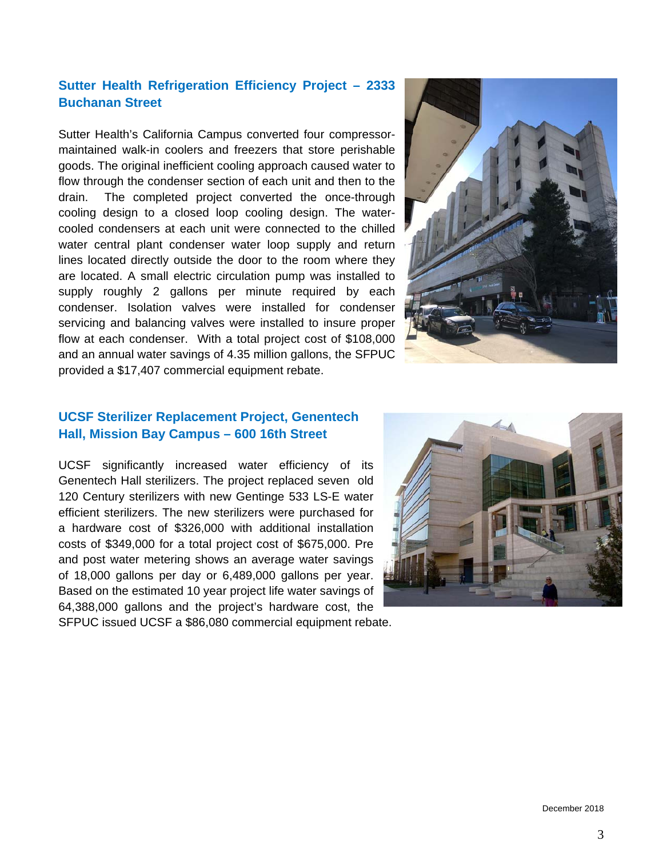# **Sutter Health Refrigeration Efficiency Project – 2333 Buchanan Street**

Sutter Health's California Campus converted four compressormaintained walk-in coolers and freezers that store perishable goods. The original inefficient cooling approach caused water to flow through the condenser section of each unit and then to the drain. The completed project converted the once-through cooling design to a closed loop cooling design. The watercooled condensers at each unit were connected to the chilled water central plant condenser water loop supply and return lines located directly outside the door to the room where they are located. A small electric circulation pump was installed to supply roughly 2 gallons per minute required by each condenser. Isolation valves were installed for condenser servicing and balancing valves were installed to insure proper flow at each condenser. With a total project cost of \$108,000 and an annual water savings of 4.35 million gallons, the SFPUC provided a \$17,407 commercial equipment rebate.



### **UCSF Sterilizer Replacement Project, Genentech Hall, Mission Bay Campus – 600 16th Street**

UCSF significantly increased water efficiency of its Genentech Hall sterilizers. The project replaced seven old 120 Century sterilizers with new Gentinge 533 LS-E water efficient sterilizers. The new sterilizers were purchased for a hardware cost of \$326,000 with additional installation costs of \$349,000 for a total project cost of \$675,000. Pre and post water metering shows an average water savings of 18,000 gallons per day or 6,489,000 gallons per year. Based on the estimated 10 year project life water savings of 64,388,000 gallons and the project's hardware cost, the SFPUC issued UCSF a \$86,080 commercial equipment rebate.